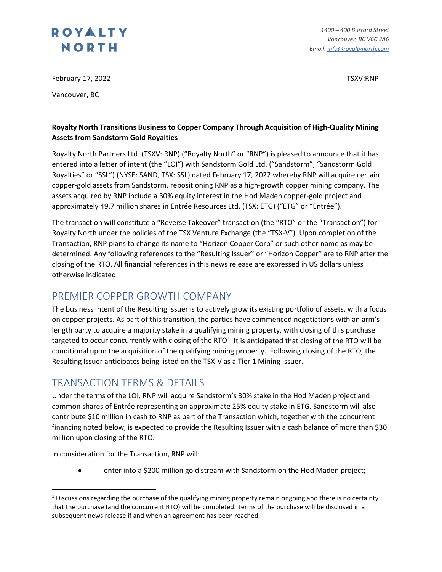February 17, 2022 **TSXV:RNP** 

Vancouver, BC

### **Royalty North Transitions Business to Copper Company Through Acquisition of High-Quality Mining Assets from Sandstorm Gold Royalties**

Royalty North Partners Ltd. (TSXV: RNP) ("Royalty North" or "RNP") is pleased to announce that it has entered into a letter of intent (the "LOI") with Sandstorm Gold Ltd. ("Sandstorm", "Sandstorm Gold Royalties" or "SSL") (NYSE: SAND, TSX: SSL) dated February 17, 2022 whereby RNP will acquire certain copper-gold assets from Sandstorm, repositioning RNP as a high-growth copper mining company. The assets acquired by RNP include a 30% equity interest in the Hod Maden copper-gold project and approximately 49.7 million shares in Entrée Resources Ltd. (TSX: ETG) ("ETG" or "Entrée").

The transaction will constitute a "Reverse Takeover" transaction (the "RTO" or the "Transaction") for Royalty North under the policies of the TSX Venture Exchange (the "TSX-V"). Upon completion of the Transaction, RNP plans to change its name to "Horizon Copper Corp" or such other name as may be determined. Any following references to the "Resulting Issuer" or "Horizon Copper" are to RNP after the closing of the RTO. All financial references in this news release are expressed in US dollars unless otherwise indicated.

## PREMIER COPPER GROWTH COMPANY

The business intent of the Resulting Issuer is to actively grow its existing portfolio of assets, with a focus on copper projects. As part of this transition, the parties have commenced negotiations with an arm's length party to acquire a majority stake in a qualifying mining property, with closing of this purchase targeted to occur concurrently with closing of the RTO<sup>[1](#page-0-0)</sup>. It is anticipated that closing of the RTO will be conditional upon the acquisition of the qualifying mining property. Following closing of the RTO, the Resulting Issuer anticipates being listed on the TSX-V as a Tier 1 Mining Issuer.

### TRANSACTION TERMS & DETAILS

Under the terms of the LOI, RNP will acquire Sandstorm's 30% stake in the Hod Maden project and common shares of Entrée representing an approximate 25% equity stake in ETG. Sandstorm will also contribute \$10 million in cash to RNP as part of the Transaction which, together with the concurrent financing noted below, is expected to provide the Resulting Issuer with a cash balance of more than \$30 million upon closing of the RTO.

In consideration for the Transaction, RNP will:

• enter into a \$200 million gold stream with Sandstorm on the Hod Maden project;

<span id="page-0-0"></span><sup>&</sup>lt;sup>1</sup> Discussions regarding the purchase of the qualifying mining property remain ongoing and there is no certainty that the purchase (and the concurrent RTO) will be completed. Terms of the purchase will be disclosed in a subsequent news release if and when an agreement has been reached.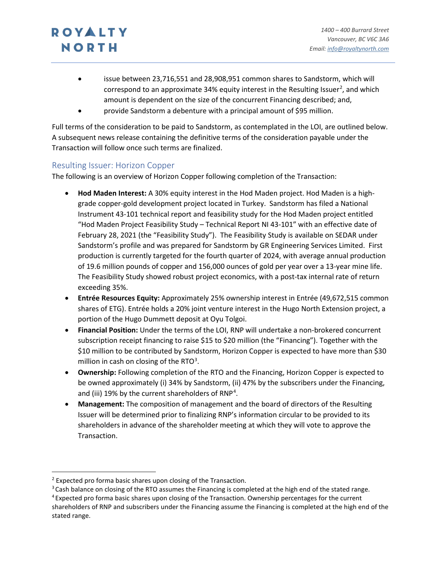- issue between 23,716,551 and 28,908,951 common shares to Sandstorm, which will correspond to an approximate 34% equity interest in the Resulting Issuer<sup>[2](#page-1-0)</sup>, and which amount is dependent on the size of the concurrent Financing described; and,
- provide Sandstorm a debenture with a principal amount of \$95 million.

Full terms of the consideration to be paid to Sandstorm, as contemplated in the LOI, are outlined below. A subsequent news release containing the definitive terms of the consideration payable under the Transaction will follow once such terms are finalized.

### Resulting Issuer: Horizon Copper

The following is an overview of Horizon Copper following completion of the Transaction:

- **Hod Maden Interest:** A 30% equity interest in the Hod Maden project. Hod Maden is a highgrade copper-gold development project located in Turkey. Sandstorm has filed a National Instrument 43-101 technical report and feasibility study for the Hod Maden project entitled "Hod Maden Project Feasibility Study – Technical Report NI 43-101" with an effective date of February 28, 2021 (the "Feasibility Study"). The Feasibility Study is available on SEDAR under Sandstorm's profile and was prepared for Sandstorm by GR Engineering Services Limited. First production is currently targeted for the fourth quarter of 2024, with average annual production of 19.6 million pounds of copper and 156,000 ounces of gold per year over a 13-year mine life. The Feasibility Study showed robust project economics, with a post-tax internal rate of return exceeding 35%.
- **Entrée Resources Equity:** Approximately 25% ownership interest in Entrée (49,672,515 common shares of ETG). Entrée holds a 20% joint venture interest in the Hugo North Extension project, a portion of the Hugo Dummett deposit at Oyu Tolgoi.
- **Financial Position:** Under the terms of the LOI, RNP will undertake a non-brokered concurrent subscription receipt financing to raise \$15 to \$20 million (the "Financing"). Together with the \$10 million to be contributed by Sandstorm, Horizon Copper is expected to have more than \$30 million in cash on closing of the RTO $3$ .
- **Ownership:** Following completion of the RTO and the Financing, Horizon Copper is expected to be owned approximately (i) 34% by Sandstorm, (ii) 47% by the subscribers under the Financing, and (iii) 19% by the current shareholders of RNP<sup>[4](#page-1-2)</sup>.
- **Management:** The composition of management and the board of directors of the Resulting Issuer will be determined prior to finalizing RNP's information circular to be provided to its shareholders in advance of the shareholder meeting at which they will vote to approve the Transaction.

<span id="page-1-0"></span> $2$  Expected pro forma basic shares upon closing of the Transaction.

<span id="page-1-1"></span><sup>&</sup>lt;sup>3</sup> Cash balance on closing of the RTO assumes the Financing is completed at the high end of the stated range.

<span id="page-1-2"></span><sup>4</sup> Expected pro forma basic shares upon closing of the Transaction. Ownership percentages for the current shareholders of RNP and subscribers under the Financing assume the Financing is completed at the high end of the stated range.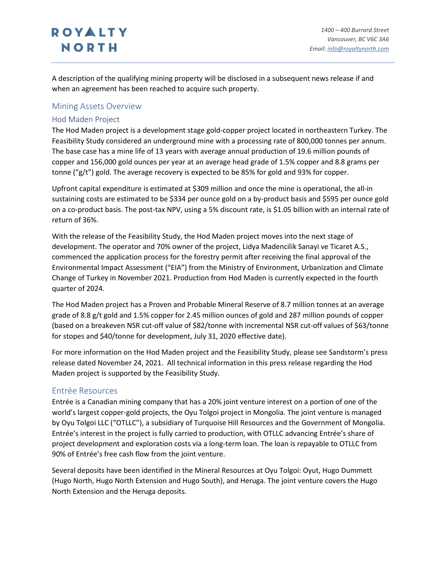A description of the qualifying mining property will be disclosed in a subsequent news release if and when an agreement has been reached to acquire such property.

#### Mining Assets Overview

#### Hod Maden Project

The Hod Maden project is a development stage gold-copper project located in northeastern Turkey. The Feasibility Study considered an underground mine with a processing rate of 800,000 tonnes per annum. The base case has a mine life of 13 years with average annual production of 19.6 million pounds of copper and 156,000 gold ounces per year at an average head grade of 1.5% copper and 8.8 grams per tonne ("g/t") gold. The average recovery is expected to be 85% for gold and 93% for copper.

Upfront capital expenditure is estimated at \$309 million and once the mine is operational, the all-in sustaining costs are estimated to be \$334 per ounce gold on a by-product basis and \$595 per ounce gold on a co-product basis. The post-tax NPV, using a 5% discount rate, is \$1.05 billion with an internal rate of return of 36%.

With the release of the Feasibility Study, the Hod Maden project moves into the next stage of development. The operator and 70% owner of the project, Lidya Madencilik Sanayi ve Ticaret A.S., commenced the application process for the forestry permit after receiving the final approval of the Environmental Impact Assessment ("EIA") from the Ministry of Environment, Urbanization and Climate Change of Turkey in November 2021. Production from Hod Maden is currently expected in the fourth quarter of 2024.

The Hod Maden project has a Proven and Probable Mineral Reserve of 8.7 million tonnes at an average grade of 8.8 g/t gold and 1.5% copper for 2.45 million ounces of gold and 287 million pounds of copper (based on a breakeven NSR cut-off value of \$82/tonne with incremental NSR cut-off values of \$63/tonne for stopes and \$40/tonne for development, July 31, 2020 effective date).

For more information on the Hod Maden project and the Feasibility Study, please see Sandstorm's press release dated November 24, 2021. All technical information in this press release regarding the Hod Maden project is supported by the Feasibility Study.

### Entrée Resources

Entrée is a Canadian mining company that has a 20% joint venture interest on a portion of one of the world's largest copper-gold projects, the Oyu Tolgoi project in Mongolia. The joint venture is managed by Oyu Tolgoi LLC ("OTLLC"), a subsidiary of Turquoise Hill Resources and the Government of Mongolia. Entrée's interest in the project is fully carried to production, with OTLLC advancing Entrée's share of project development and exploration costs via a long-term loan. The loan is repayable to OTLLC from 90% of Entrée's free cash flow from the joint venture.

Several deposits have been identified in the Mineral Resources at Oyu Tolgoi: Oyut, Hugo Dummett (Hugo North, Hugo North Extension and Hugo South), and Heruga. The joint venture covers the Hugo North Extension and the Heruga deposits.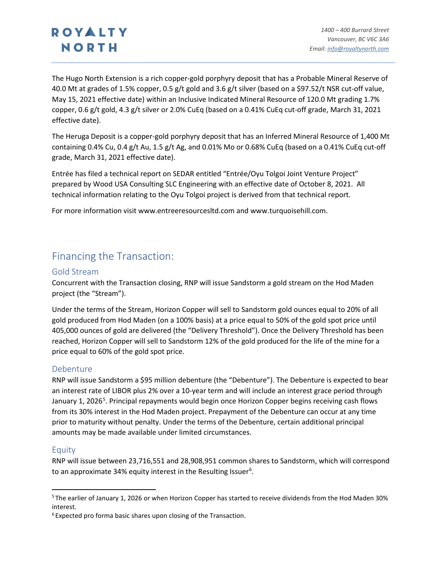The Hugo North Extension is a rich copper-gold porphyry deposit that has a Probable Mineral Reserve of 40.0 Mt at grades of 1.5% copper, 0.5 g/t gold and 3.6 g/t silver (based on a \$97.52/t NSR cut-off value, May 15, 2021 effective date) within an Inclusive Indicated Mineral Resource of 120.0 Mt grading 1.7% copper, 0.6 g/t gold, 4.3 g/t silver or 2.0% CuEq (based on a 0.41% CuEq cut-off grade, March 31, 2021 effective date).

The Heruga Deposit is a copper-gold porphyry deposit that has an Inferred Mineral Resource of 1,400 Mt containing 0.4% Cu, 0.4 g/t Au, 1.5 g/t Ag, and 0.01% Mo or 0.68% CuEq (based on a 0.41% CuEq cut-off grade, March 31, 2021 effective date).

Entrée has filed a technical report on SEDAR entitled "Entrée/Oyu Tolgoi Joint Venture Project" prepared by Wood USA Consulting SLC Engineering with an effective date of October 8, 2021. All technical information relating to the Oyu Tolgoi project is derived from that technical report.

For more information visit www.entreeresourcesltd.com and www.turquoisehill.com.

### Financing the Transaction:

### Gold Stream

Concurrent with the Transaction closing, RNP will issue Sandstorm a gold stream on the Hod Maden project (the "Stream").

Under the terms of the Stream, Horizon Copper will sell to Sandstorm gold ounces equal to 20% of all gold produced from Hod Maden (on a 100% basis) at a price equal to 50% of the gold spot price until 405,000 ounces of gold are delivered (the "Delivery Threshold"). Once the Delivery Threshold has been reached, Horizon Copper will sell to Sandstorm 12% of the gold produced for the life of the mine for a price equal to 60% of the gold spot price.

### Debenture

RNP will issue Sandstorm a \$95 million debenture (the "Debenture"). The Debenture is expected to bear an interest rate of LIBOR plus 2% over a 10-year term and will include an interest grace period through January 1, 2026<sup>[5](#page-3-0)</sup>. Principal repayments would begin once Horizon Copper begins receiving cash flows from its 30% interest in the Hod Maden project. Prepayment of the Debenture can occur at any time prior to maturity without penalty. Under the terms of the Debenture, certain additional principal amounts may be made available under limited circumstances.

#### Equity

RNP will issue between 23,716,551 and 28,908,951 common shares to Sandstorm, which will correspond to an approximate 34% equity interest in the Resulting Issuer<sup>[6](#page-3-1)</sup>.

<span id="page-3-0"></span><sup>5</sup> The earlier of January 1, 2026 or when Horizon Copper has started to receive dividends from the Hod Maden 30% interest.

<span id="page-3-1"></span><sup>&</sup>lt;sup>6</sup> Expected pro forma basic shares upon closing of the Transaction.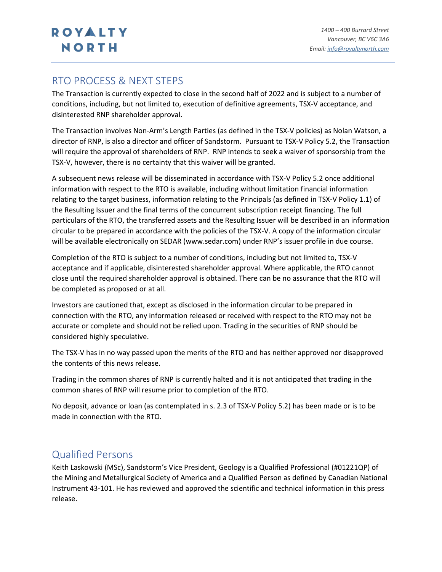### RTO PROCESS & NEXT STEPS

The Transaction is currently expected to close in the second half of 2022 and is subject to a number of conditions, including, but not limited to, execution of definitive agreements, TSX-V acceptance, and disinterested RNP shareholder approval.

The Transaction involves Non-Arm's Length Parties (as defined in the TSX-V policies) as Nolan Watson, a director of RNP, is also a director and officer of Sandstorm. Pursuant to TSX-V Policy 5.2, the Transaction will require the approval of shareholders of RNP. RNP intends to seek a waiver of sponsorship from the TSX-V, however, there is no certainty that this waiver will be granted.

A subsequent news release will be disseminated in accordance with TSX-V Policy 5.2 once additional information with respect to the RTO is available, including without limitation financial information relating to the target business, information relating to the Principals (as defined in TSX-V Policy 1.1) of the Resulting Issuer and the final terms of the concurrent subscription receipt financing. The full particulars of the RTO, the transferred assets and the Resulting Issuer will be described in an information circular to be prepared in accordance with the policies of the TSX-V. A copy of the information circular will be available electronically on SEDAR (www.sedar.com) under RNP's issuer profile in due course.

Completion of the RTO is subject to a number of conditions, including but not limited to, TSX-V acceptance and if applicable, disinterested shareholder approval. Where applicable, the RTO cannot close until the required shareholder approval is obtained. There can be no assurance that the RTO will be completed as proposed or at all.

Investors are cautioned that, except as disclosed in the information circular to be prepared in connection with the RTO, any information released or received with respect to the RTO may not be accurate or complete and should not be relied upon. Trading in the securities of RNP should be considered highly speculative.

The TSX-V has in no way passed upon the merits of the RTO and has neither approved nor disapproved the contents of this news release.

Trading in the common shares of RNP is currently halted and it is not anticipated that trading in the common shares of RNP will resume prior to completion of the RTO.

No deposit, advance or loan (as contemplated in s. 2.3 of TSX-V Policy 5.2) has been made or is to be made in connection with the RTO.

### Qualified Persons

Keith Laskowski (MSc), Sandstorm's Vice President, Geology is a Qualified Professional (#01221QP) of the Mining and Metallurgical Society of America and a Qualified Person as defined by Canadian National Instrument 43-101. He has reviewed and approved the scientific and technical information in this press release.